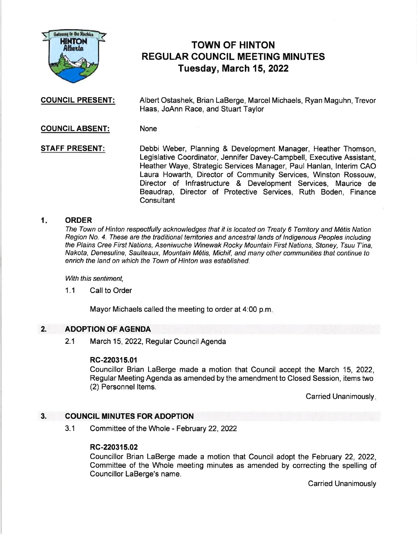

# TOWN OF HINTON REGULAR COUNCIL MEETING MINUTES Tuesday, March 15,2022

COUNCIL PRESENT: Albert Ostashek, Brian LaBerge, Marcel Michaels, Ryan Maguhn, Trevor Haas, JoAnn Race, and Stuart Taylor

COUNCIL ABSENT: None

STAFF PRESENT: Debbi Weber, Planning & Development Manager, Heather Thomson, Legislative Coordinator, Jennifer Davey-Campbell, Executive Assistant, Heather Waye, Strategic Services Manager, Paul Hanlan, lnterim CAO Laura Howarth, Director of Community Services, Winston Rossouw, Director of lnfrastructure & Development Services, Maurice de Beaudrap, Director of Protective Services, Ruth Boden, Finance **Consultant** 

#### 1 ORDER

The Town of Hinton respectfully acknowledges that it is located on Treaty 6 Territory and M6tis Nation Region No. 4. These are the traditional territories and ancestral lands of lndigenous Peoples including the Plains Cree First Nations, Aseniwuche Winewak Rocky Mountain First Nations, Stoney, Tsuu T'ina, Nakota, Denesuline, Saulteaux, Mountain Métis, Michif, and many other communities that continue to enrich the land on which the Town of Hinton was established.

With this sentiment,

1.1 Call to Order

Mayor Michaels called the meeting to order at 4:00 p.m

#### ADOPTION OF AGENDA 2.

2.1 March 15, 2022, Regular Council Agenda

### RC-2203{5.01

Councillor Brian LaBerge made a motion that Council accept the March 15, 2022, Regular Meeting Agenda as amended by the amendment to Closed Session, items two (2) Personnel Items.

Carried Unanimously.

#### COUNCIL MINUTES FOR ADOPTION 3.

3.1 Committee of the Whole - February 22,2022

### RC-220315.02

Councillor Brian LaBerge made a motion that Council adopt the February 22, 2022, Committee of the Whole meeting minutes as amended by correcting the spelling of Councillor LaBerge's name.

Carried Unanimously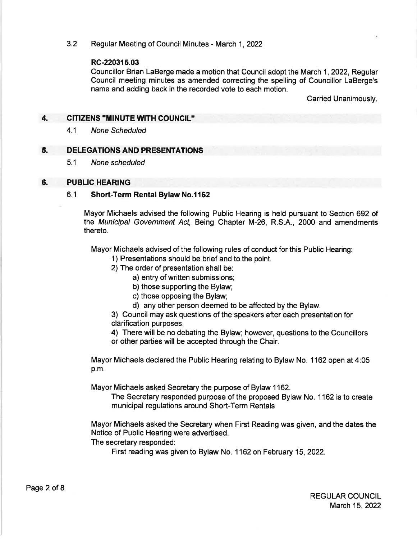### 3.2 Regular Meeting of Council Minutes - March 1,2022

### RC-220315.03

Councillor Brian LaBerge made a motion that Council adopt the March 1,2022, Regular Council meeting minutes as amended correcting the spelling of Councillor LaBerge's name and adding back in the recorded vote to each motion.

Carried Unanimously.

#### 4. CITIZENS "MINUTE WITH COUNCIL"

4.1 None Scheduled

#### 5. DELEGATIONS AND PRESENTATIONS

5.1 None scheduled

#### 6. PUBLIC HEARING

### 6.1 Short-Term Rental Bylaw No.l162

Mayor Michaels advised the following Public Hearing is held pursuant to Section 692 of the Municipal Government Act, Being Chapter M-26, R.S.A., 2000 and amendments thereto.

Mayor Michaels advised of the following rules of conduct for this Public Hearing:

- 1) Presentations should be brief and to the point.
- 2) The order of presentation shall be:
	- a) entry of written submissions;
	- b) those supporting the Bylaw;
	- c) those opposing the Bylaw;
	- d) any other person deemed to be affected by the Bylaw.

3) Council may ask questions of the speakers after each presentation for clarification purposes.

4) There will be no debating the Bylaw; however, questions to the Councillors or other parties will be accepted through the Chair.

Mayor Michaels declared the Public Hearing relating to Bylaw No. 1162 open at 4:05 p.m.

Mayor Michaels asked Secretary the purpose of Bylaw 1162.

The Secretary responded purpose of the proposed Bylaw No. 1 162 is to create municipal regulations around Short-Term Rentals

Mayor Michaels asked the Secretary when First Reading was given, and the dates the Notice of Public Hearing were advertised.

The secretary responded:

First reading was given to Bylaw No. 1 162 on February 15,2022.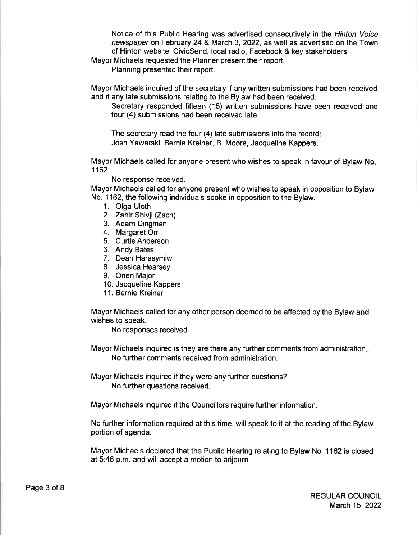Notice of this Public Hearing was advertised consecutively in the Hinton Voice newspaper on February 24 & March 3,2022, as well as advertised on the Town of Hinton website, CivicSend, local radio, Facebook & key stakeholders.

Mayor Michaels requested the Planner present their report.

Planning presented their report.

Mayor Michaels inquired of the secretary if any written submissions had been received and if any late submissions relating to the Bylaw had been received.

Secretary responded fifteen (15) written submissions have been received and four (4) submissions had been received late.

The secretary read the four (4) late submissions into the record Josh Yawarski, Bernie Kreiner, B. Moore, Jacqueline Kappers.

Mayor Michaels called for anyone present who wishes to speak in favour of Bylaw No 1162.

#### No response received.

Mayor Michaels called for anyone present who wishes to speak in opposition to Bylaw No. 1162, the following individuals spoke in opposition to the Bylaw.

- 1. Olga Uloth
- 2. Zahir Shivji (Zach)
- 3. Adam Dingman
- 4. Margaret On
- 5. Curtis Anderson
- 6. Andy Bates
- 7. Dean Harasymiw
- 8. Jessica Hearsey
- 9. Orien Major
- 10. Jacqueline Kappers
- <sup>1</sup>1. Bernie Kreiner

Mayor Michaels called for any other person deemed to be affected by the Bylaw and wishes to speak.

No responses received

Mayor Michaels inquired is they are there any further comments from administration No further comments received from administration.

Mayor Michaels inquired if they were any further questions? No further questions received.

Mayor Michaels inquired if the Councillors require further information.

No further information required at this time, will speak to it at the reading of the Bylaw portion of agenda.

Mayor Michaels declared that the Public Hearing relating to Bylaw No. 1 162 is closed at 5:46 p.m. and will accept a motion to adjourn.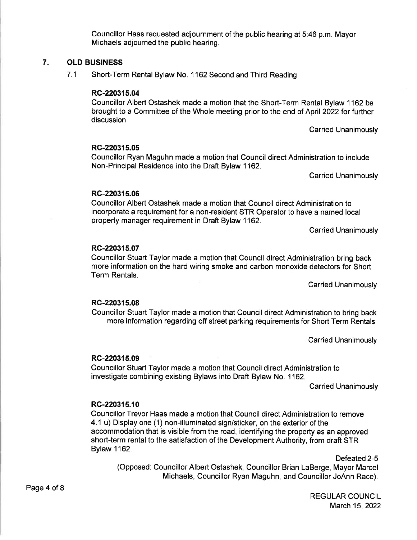Councillor Haas requested adjournment of the public hearing at 5:46 p.m. Mayor Michaels adjourned the public hearing.

## 7. OLD BUSINESS

7.1 Short-Term Rental Bylaw No. 1162 Second and Third Reading

### RC-220315.04

Councillor Albert Ostashek made a motion that the Short-Term Rental Bylaw 1162 be brought to a Committee of the Whole meeting prior to the end of April 2022 for further discussion

Carried Unanimously

### RC-220315.05

Councillor Ryan Maguhn made a motion that Council direct Administration to include Non-Principal Residence into the Draft Bylaw 1162.

Carried Unanimously

### RC-220315.06

Councillor Albert Ostashek made a motion that Council direct Administration to incorporate a requirement for a non-resident STR Operator to have a named local property manager requirement in Draft Bylaw 1162.

Carried Unanimously

### RC-2203r5.07

Councillor Stuart Taylor made a motion that Council direct Administration bring back more information on the hard wiring smoke and carbon monoxide detectors for Short Term Rentals.

Carried Unanimously

### RC-220315.08

Councillor Stuart Taylor made a motion that Council direct Administration to bring back more information regarding off street parking requirements for Short Term Rentals

Carried Unanimously

### RC-220315.09

Councillor Stuart Taylor made a motion that Council direct Administration to investigate combining existing Bylaws into Draft Bylaw No. 1162.

Carried Unanimously

### RC-220315.10

Councillor Trevor Haas made a motion that Council direct Administration to remove 4.1 u) Display one (1) non-illuminated sign/sticker, on the exterior of the accommodation that is visible from the road, identifying the property as an approved short-term rental to the satisfaction of the Development Authority, from draft STR Bylaw 1162.

Defeated 2-5 (Opposed: Councillor Albert Ostashek, Councillor Brian LaBerge, Mayor Marcel Michaels, Councillor Ryan Maguhn, and Councillor JoAnn Race).

> REGULAR COUNCIL March 15,2022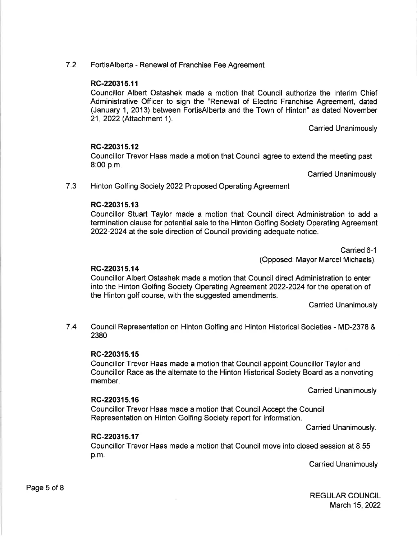7.2 FortisAlberta - Renewal of Franchise Fee Agreement

### RC-220315.11

Councillor Albert Ostashek made a motion that Council authorize the lnterim Chief Administrative Officer to sign the "Renewal of Electric Franchise Agreement, dated (January 1, 2013) between FortisAlberta and the Town of Hinton" as dated November 21, 2022 (Attachment <sup>1</sup>).

Carried Unanimously

### RC-220315.12

Councillor Trevor Haas made a motion that Council agree to extend the meeting past 8:00 p.m.

Carried Unanimously

7.3 Hinton Golfing Society 2022 Proposed Operating Agreement

### RC-220315.13

Councillor Stuart Taylor made a motion that Council direct Administration to add <sup>a</sup> termination clause for potential sale to the Hinton Golfing Society Operating Agreement 2022-2024 at the sole direction of Council providing adequate notice.

Carried 6-1

(Opposed: Mayor Marcel Michaels).

### RG-220315.14

Councillor Albert Ostashek made a motion that Council direct Administration to enter into the Hinton Golfing Society Operating Agreement 2022-2024 for the operation of the Hinton golf course, with the suggested amendments.

Carried Unanimously

7,4 Council Representation on Hinton Golfing and Hinton Historical Societies - MD-2378 & 2380

### RC-220315.15

Councillor Trevor Haas made a motion that Council appoint Councillor Taylor and Councillor Race as the alternate to the Hinton Historical Society Board as a nonvoting member.

Carried Unanimously

### RC-220315.16

Councillor Trevor Haas made a motion that Council Accept the Council Representation on Hinton Golfing Society report for information.

Carried Unanimously.

### RC-220315.17

Councillor Trevor Haas made a motion that Council move into closed session at 8:55 p.m.

Carried Unanimously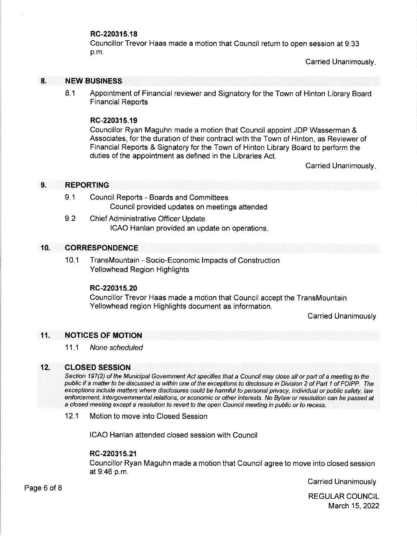### RC-220315.18

Councillor Trevor Haas made a motion that Council return to open session at 9:33 p.m.

Carried Unanimously

#### 8. NEW BUSINESS

8.1 Appointment of Financial reviewer and Signatory for the Town of Hinton Library Board Financial Reports

### RC-220315.19

Councillor Ryan Maguhn made a motion that Council appoint JDP Wasserman & Associates, for the duration of their contract with the Town of Hinton, as Reviewer of Financial Reports & Signatory for the Town of Hinton Library Board to perform the duties of the appointment as defined in the Libraries Act.

Carried Unanimously

#### 9. REPORTING

- 9.1 Council Reports Boards and Committees Council provided updates on meetings attended
- 9.2 Chief Administrative Officer Update ICAO Hanlan provided an update on operations

#### 10. **CORRESPONDENCE**

10.1 TransMountain - Socio-Economic lmpacts of Construction Yellowhead Region Highlights

#### RC-220315.20

Councillor Trevor Haas made a motion that Council accept the TransMountain Yellowhead region Highlights document as information.

Carried Unanimously

#### 11. NOTICES OF MOTION

11,1 None scheduled

#### 12. CLOSED SESSION

Section 197(2) of the Municipal Govemment Act specifies that a Council may close all or part of a meeting to the public if a matter to be discussed is within one of the exceptions to disclosure in Division 2 of Part 1 of FOIPP. The exceptions include mafters where disclosures could be harmful to personal pivacy, individual or public safety, Iaw enforcement, intergovemmental relations, or economic or other interesfs. No Bylaw or resolution can be passed af a closed meeting except a resolution to reveft to the open Council meeting in public or fo recess.

12.1 Motion to move into Closed Session

ICAO Hanlan attended closed session with Council

#### RC-220315.21

Councillor Ryan Maguhn made a motion that Council agree to move into closed session at 9:46 p.m.

Carried Unanimously

REGULAR COUNCIL March 15,2022

Page 6 of 8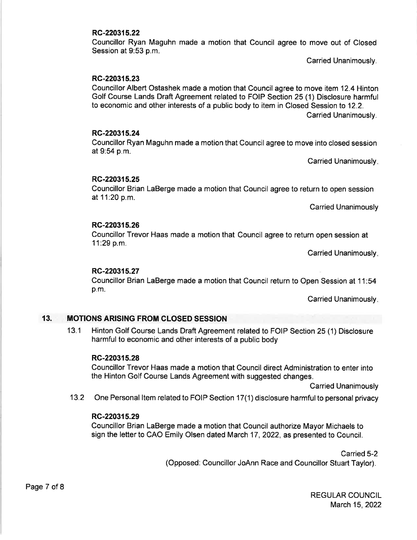#### RC-220315.22

Councillor Ryan Maguhn made a motion that Council agree to move out of Closed Session at 9:53 p.m.

Carried Unanimously.

### RC-220315.23

Councillor Albert Ostashek made a motion that Council agree to move item 12.4 Hinton Golf Course Lands Draft Agreement related to FOIP Section 25 (1) Disclosure harmful to economic and other interests of a public body to item in Closed Session to 12.2. Carried Unanimously.

#### RC-220315.24

Councillor Ryan Maguhn made a motion that Council agree to move into closed session at 9:54 p.m.

Carried Unanimously

#### RC-220315.25

Councillor Brian LaBerge made a motion that Council agree to return to open session at 11:20 p.m.

Carried Unanimously

#### RC-220315.26

Councillor Trevor Haas made a motion that Council agree to return open session at 11:29 p.m.

Carried Unanimously

#### RC-220315.27

Councillor Brian LaBerge made a motion that Council return to Open Session at 11:54 p.m.

Carried Unanimously

#### 13. **MOTIONS ARISING FROM CLOSED SESSION**

13.1 Hinton Golf Course Lands Draft Agreement related to FOIP Section 25 (1) Disclosure harmful to economic and other interests of a public body

#### RC-220315.28

Councillor Trevor Haas made a motion that Council direct Administration to enter into the Hinton Golf Course Lands Agreement with suggested changes.

Carried Unanimously

13.2 One Personal Item related to FOIP Section 17(1) disclosure harmful to personal privacy

#### RC-220315.29

Councillor Brian LaBerge made a motion that Council authorize Mayor Michaels to sign the letter to CAO Emily Olsen dated March 17, 2022, as presented to Council.

> Carried 5-2 (Opposed: Councillor JoAnn Race and Councillor Stuart Taylor).